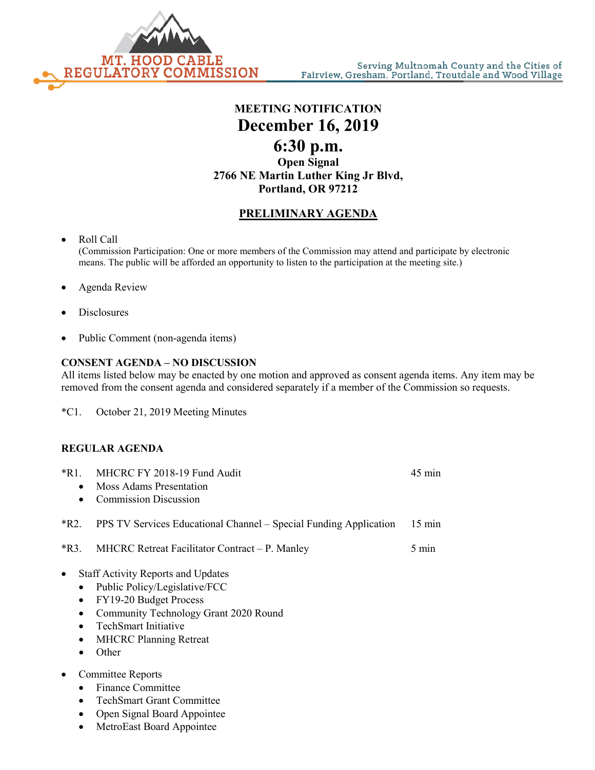

## **MEETING NOTIFICATION December 16, 2019 6:30 p.m.**

**Open Signal 2766 NE Martin Luther King Jr Blvd, Portland, OR 97212**

## **PRELIMINARY AGENDA**

- Roll Call (Commission Participation: One or more members of the Commission may attend and participate by electronic means. The public will be afforded an opportunity to listen to the participation at the meeting site.)
- Agenda Review
- **Disclosures**
- Public Comment (non-agenda items)

## **CONSENT AGENDA – NO DISCUSSION**

All items listed below may be enacted by one motion and approved as consent agenda items. Any item may be removed from the consent agenda and considered separately if a member of the Commission so requests.

\*C1. October 21, 2019 Meeting Minutes

## **REGULAR AGENDA**

| $*R1$ .<br>$\bullet$<br>$\bullet$                | MHCRC FY 2018-19 Fund Audit<br>Moss Adams Presentation<br><b>Commission Discussion</b>                                                                                                                                 | $45 \text{ min}$ |
|--------------------------------------------------|------------------------------------------------------------------------------------------------------------------------------------------------------------------------------------------------------------------------|------------------|
| *R2.                                             | PPS TV Services Educational Channel – Special Funding Application                                                                                                                                                      | $15 \text{ min}$ |
| $*R3$ .                                          | MHCRC Retreat Facilitator Contract – P. Manley                                                                                                                                                                         | $5 \text{ min}$  |
| $\bullet$<br>$\bullet$<br>$\bullet$<br>$\bullet$ | <b>Staff Activity Reports and Updates</b><br>Public Policy/Legislative/FCC<br>FY19-20 Budget Process<br>Community Technology Grant 2020 Round<br><b>TechSmart Initiative</b><br><b>MHCRC Planning Retreat</b><br>Other |                  |
| ٠                                                | <b>Committee Reports</b><br>$\mathbf{r}$                                                                                                                                                                               |                  |

- Finance Committee
- TechSmart Grant Committee
- Open Signal Board Appointee
- MetroEast Board Appointee